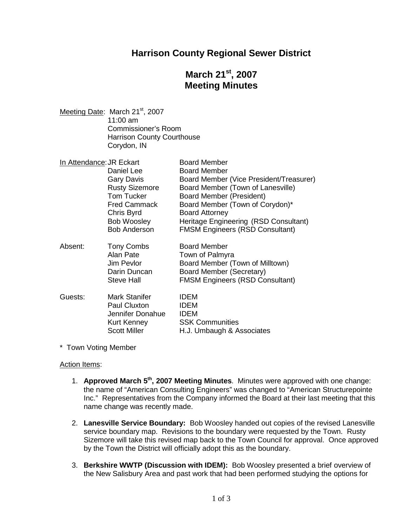### **Harrison County Regional Sewer District**

# **March 21st , 2007 Meeting Minutes**

Meeting Date: March 21<sup>st</sup>, 2007 11:00 am Commissioner's Room Harrison County Courthouse Corydon, IN

| In Attendance: JR Eckart |                       | <b>Board Member</b>                     |
|--------------------------|-----------------------|-----------------------------------------|
|                          | Daniel Lee            | <b>Board Member</b>                     |
|                          | <b>Gary Davis</b>     | Board Member (Vice President/Treasurer) |
|                          | <b>Rusty Sizemore</b> | Board Member (Town of Lanesville)       |
|                          | <b>Tom Tucker</b>     | <b>Board Member (President)</b>         |
|                          | <b>Fred Cammack</b>   | Board Member (Town of Corydon)*         |
|                          | Chris Byrd            | <b>Board Attorney</b>                   |
|                          | Bob Woosley           | Heritage Engineering (RSD Consultant)   |
|                          | <b>Bob Anderson</b>   | <b>FMSM Engineers (RSD Consultant)</b>  |
| Absent:                  | Tony Combs            | <b>Board Member</b>                     |
|                          | Alan Pate             | Town of Palmyra                         |
|                          | Jim Pevlor            | Board Member (Town of Milltown)         |
|                          | Darin Duncan          | <b>Board Member (Secretary)</b>         |
|                          | <b>Steve Hall</b>     | <b>FMSM Engineers (RSD Consultant)</b>  |
| Guests:                  | Mark Stanifer         | <b>IDEM</b>                             |
|                          | <b>Paul Cluxton</b>   | <b>IDEM</b>                             |
|                          | Jennifer Donahue      | <b>IDEM</b>                             |
|                          | Kurt Kenney           | <b>SSK Communities</b>                  |
|                          | <b>Scott Miller</b>   | H.J. Umbaugh & Associates               |

\* Town Voting Member

#### Action Items:

- 1. **Approved March 5th , 2007 Meeting Minutes**. Minutes were approved with one change: the name of "American Consulting Engineers" was changed to "American Structurepointe Inc." Representatives from the Company informed the Board at their last meeting that this name change was recently made.
- 2. **Lanesville Service Boundary:** Bob Woosley handed out copies of the revised Lanesville service boundary map. Revisions to the boundary were requested by the Town. Rusty Sizemore will take this revised map back to the Town Council for approval. Once approved by the Town the District will officially adopt this as the boundary.
- 3. **Berkshire WWTP (Discussion with IDEM):** Bob Woosley presented a brief overview of the New Salisbury Area and past work that had been performed studying the options for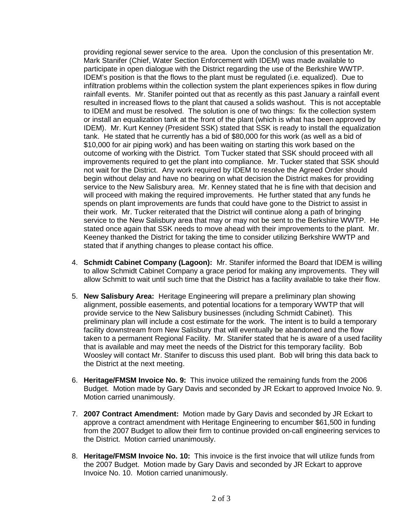providing regional sewer service to the area. Upon the conclusion of this presentation Mr. Mark Stanifer (Chief, Water Section Enforcement with IDEM) was made available to participate in open dialogue with the District regarding the use of the Berkshire WWTP. IDEM's position is that the flows to the plant must be regulated (i.e. equalized). Due to infiltration problems within the collection system the plant experiences spikes in flow during rainfall events. Mr. Stanifer pointed out that as recently as this past January a rainfall event resulted in increased flows to the plant that caused a solids washout. This is not acceptable to IDEM and must be resolved. The solution is one of two things: fix the collection system or install an equalization tank at the front of the plant (which is what has been approved by IDEM). Mr. Kurt Kenney (President SSK) stated that SSK is ready to install the equalization tank. He stated that he currently has a bid of \$80,000 for this work (as well as a bid of \$10,000 for air piping work) and has been waiting on starting this work based on the outcome of working with the District. Tom Tucker stated that SSK should proceed with all improvements required to get the plant into compliance. Mr. Tucker stated that SSK should not wait for the District. Any work required by IDEM to resolve the Agreed Order should begin without delay and have no bearing on what decision the District makes for providing service to the New Salisbury area. Mr. Kenney stated that he is fine with that decision and will proceed with making the required improvements. He further stated that any funds he spends on plant improvements are funds that could have gone to the District to assist in their work. Mr. Tucker reiterated that the District will continue along a path of bringing service to the New Salisbury area that may or may not be sent to the Berkshire WWTP. He stated once again that SSK needs to move ahead with their improvements to the plant. Mr. Keeney thanked the District for taking the time to consider utilizing Berkshire WWTP and stated that if anything changes to please contact his office.

- 4. **Schmidt Cabinet Company (Lagoon):** Mr. Stanifer informed the Board that IDEM is willing to allow Schmidt Cabinet Company a grace period for making any improvements. They will allow Schmitt to wait until such time that the District has a facility available to take their flow.
- 5. **New Salisbury Area:** Heritage Engineering will prepare a preliminary plan showing alignment, possible easements, and potential locations for a temporary WWTP that will provide service to the New Salisbury businesses (including Schmidt Cabinet). This preliminary plan will include a cost estimate for the work. The intent is to build a temporary facility downstream from New Salisbury that will eventually be abandoned and the flow taken to a permanent Regional Facility. Mr. Stanifer stated that he is aware of a used facility that is available and may meet the needs of the District for this temporary facility. Bob Woosley will contact Mr. Stanifer to discuss this used plant. Bob will bring this data back to the District at the next meeting.
- 6. **Heritage/FMSM Invoice No. 9:** This invoice utilized the remaining funds from the 2006 Budget. Motion made by Gary Davis and seconded by JR Eckart to approved Invoice No. 9. Motion carried unanimously.
- 7. **2007 Contract Amendment:** Motion made by Gary Davis and seconded by JR Eckart to approve a contract amendment with Heritage Engineering to encumber \$61,500 in funding from the 2007 Budget to allow their firm to continue provided on-call engineering services to the District. Motion carried unanimously.
- 8. **Heritage/FMSM Invoice No. 10:** This invoice is the first invoice that will utilize funds from the 2007 Budget. Motion made by Gary Davis and seconded by JR Eckart to approve Invoice No. 10. Motion carried unanimously.